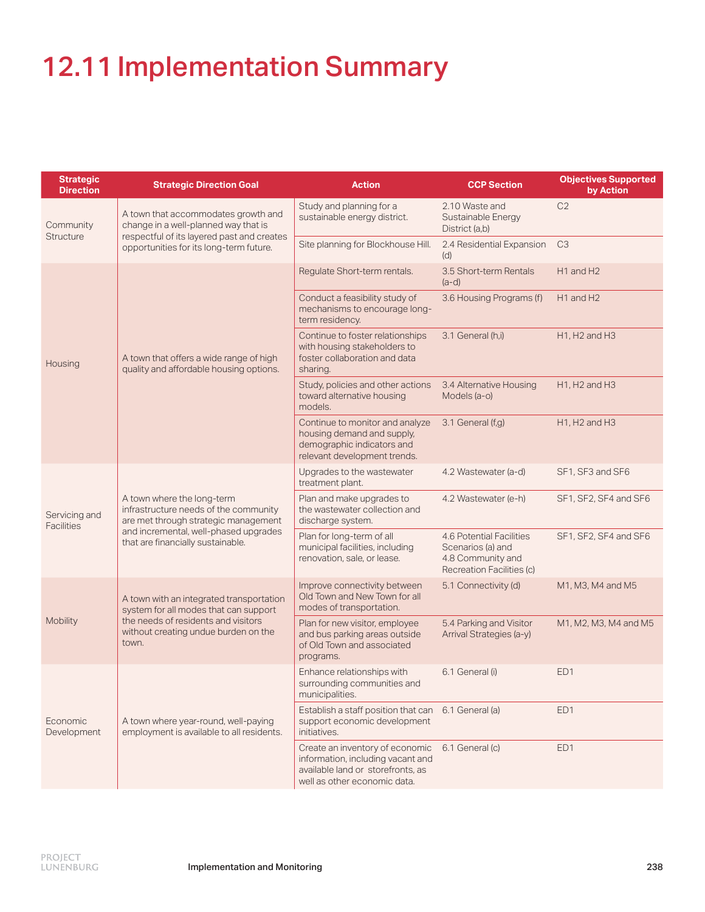## 12.11 Implementation Summary

| <b>Strategic</b><br><b>Direction</b> | <b>Strategic Direction Goal</b>                                                                                                                                                           | <b>Action</b>                                                                                                                             | <b>CCP Section</b>                                                                              | <b>Objectives Supported</b><br>by Action           |
|--------------------------------------|-------------------------------------------------------------------------------------------------------------------------------------------------------------------------------------------|-------------------------------------------------------------------------------------------------------------------------------------------|-------------------------------------------------------------------------------------------------|----------------------------------------------------|
| Community<br><b>Structure</b>        | A town that accommodates growth and<br>change in a well-planned way that is<br>respectful of its layered past and creates<br>opportunities for its long-term future.                      | Study and planning for a<br>sustainable energy district.                                                                                  | 2.10 Waste and<br>Sustainable Energy<br>District (a,b)                                          | C <sub>2</sub>                                     |
|                                      |                                                                                                                                                                                           | Site planning for Blockhouse Hill.                                                                                                        | 2.4 Residential Expansion<br>(d)                                                                | C <sub>3</sub>                                     |
| Housing                              | A town that offers a wide range of high<br>quality and affordable housing options.                                                                                                        | Regulate Short-term rentals.                                                                                                              | 3.5 Short-term Rentals<br>$(a-d)$                                                               | H1 and H2                                          |
|                                      |                                                                                                                                                                                           | Conduct a feasibility study of<br>mechanisms to encourage long-<br>term residency.                                                        | 3.6 Housing Programs (f)                                                                        | H1 and H2                                          |
|                                      |                                                                                                                                                                                           | Continue to foster relationships<br>with housing stakeholders to<br>foster collaboration and data<br>sharing.                             | 3.1 General (h,i)                                                                               | H <sub>1</sub> , H <sub>2</sub> and H <sub>3</sub> |
|                                      |                                                                                                                                                                                           | Study, policies and other actions<br>toward alternative housing<br>models.                                                                | 3.4 Alternative Housing<br>Models (a-o)                                                         | H <sub>1</sub> , H <sub>2</sub> and H <sub>3</sub> |
|                                      |                                                                                                                                                                                           | Continue to monitor and analyze<br>housing demand and supply,<br>demographic indicators and<br>relevant development trends.               | 3.1 General (f,g)                                                                               | H <sub>1</sub> , H <sub>2</sub> and H <sub>3</sub> |
| Servicing and<br><b>Facilities</b>   | A town where the long-term<br>infrastructure needs of the community<br>are met through strategic management<br>and incremental, well-phased upgrades<br>that are financially sustainable. | Upgrades to the wastewater<br>treatment plant.                                                                                            | 4.2 Wastewater (a-d)                                                                            | SF1, SF3 and SF6                                   |
|                                      |                                                                                                                                                                                           | Plan and make upgrades to<br>the wastewater collection and<br>discharge system.                                                           | 4.2 Wastewater (e-h)                                                                            | SF1, SF2, SF4 and SF6                              |
|                                      |                                                                                                                                                                                           | Plan for long-term of all<br>municipal facilities, including<br>renovation, sale, or lease.                                               | 4.6 Potential Facilities<br>Scenarios (a) and<br>4.8 Community and<br>Recreation Facilities (c) | SF1, SF2, SF4 and SF6                              |
| Mobility                             | A town with an integrated transportation<br>system for all modes that can support<br>the needs of residents and visitors<br>without creating undue burden on the<br>town.                 | Improve connectivity between<br>Old Town and New Town for all<br>modes of transportation.                                                 | 5.1 Connectivity (d)                                                                            | M1, M3, M4 and M5                                  |
|                                      |                                                                                                                                                                                           | Plan for new visitor, employee<br>and bus parking areas outside<br>of Old Town and associated<br>programs.                                | 5.4 Parking and Visitor<br>Arrival Strategies (a-y)                                             | M1, M2, M3, M4 and M5                              |
| Economic<br>Development              | A town where year-round, well-paying<br>employment is available to all residents.                                                                                                         | Enhance relationships with<br>surrounding communities and<br>municipalities.                                                              | 6.1 General (i)                                                                                 | ED <sub>1</sub>                                    |
|                                      |                                                                                                                                                                                           | Establish a staff position that can<br>support economic development<br>initiatives.                                                       | 6.1 General (a)                                                                                 | ED <sub>1</sub>                                    |
|                                      |                                                                                                                                                                                           | Create an inventory of economic<br>information, including vacant and<br>available land or storefronts, as<br>well as other economic data. | 6.1 General (c)                                                                                 | ED1                                                |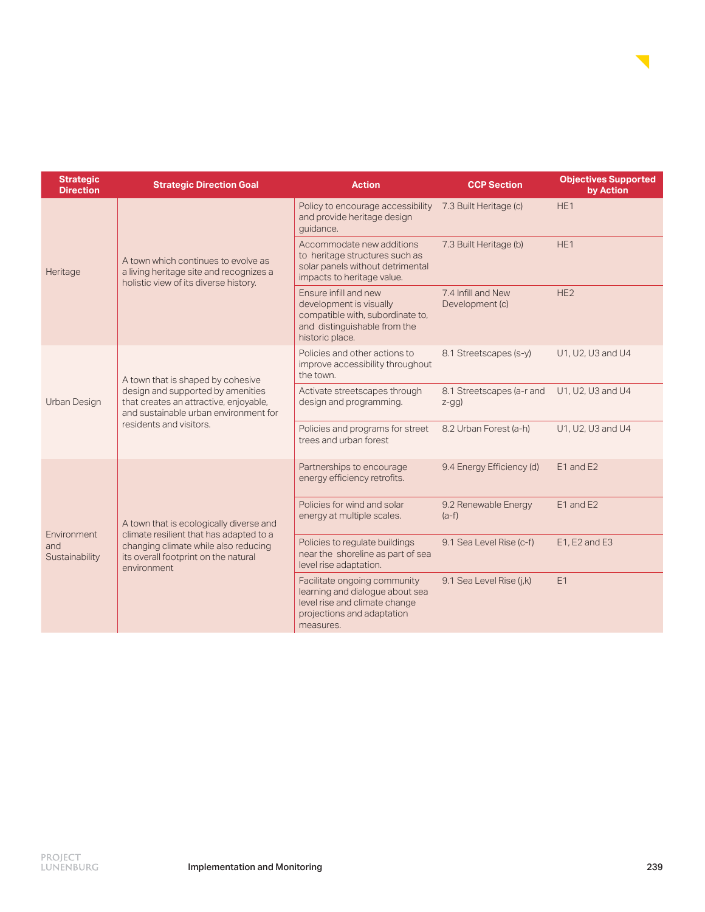

| <b>Strategic</b><br><b>Direction</b> | <b>Strategic Direction Goal</b>                                                                                                                                                      | <b>Action</b>                                                                                                                               | <b>CCP Section</b>                    | <b>Objectives Supported</b><br>by Action |
|--------------------------------------|--------------------------------------------------------------------------------------------------------------------------------------------------------------------------------------|---------------------------------------------------------------------------------------------------------------------------------------------|---------------------------------------|------------------------------------------|
| Heritage                             | A town which continues to evolve as<br>a living heritage site and recognizes a<br>holistic view of its diverse history.                                                              | Policy to encourage accessibility<br>and provide heritage design<br>quidance.                                                               | 7.3 Built Heritage (c)                | HE <sub>1</sub>                          |
|                                      |                                                                                                                                                                                      | Accommodate new additions<br>to heritage structures such as<br>solar panels without detrimental<br>impacts to heritage value.               | 7.3 Built Heritage (b)                | HE <sub>1</sub>                          |
|                                      |                                                                                                                                                                                      | Ensure infill and new<br>development is visually<br>compatible with, subordinate to,<br>and distinguishable from the<br>historic place.     | 7.4 Infill and New<br>Development (c) | HE <sub>2</sub>                          |
| Urban Design                         | A town that is shaped by cohesive<br>design and supported by amenities<br>that creates an attractive, enjoyable,<br>and sustainable urban environment for<br>residents and visitors. | Policies and other actions to<br>improve accessibility throughout<br>the town.                                                              | 8.1 Streetscapes (s-y)                | U1, U2, U3 and U4                        |
|                                      |                                                                                                                                                                                      | Activate streetscapes through<br>design and programming.                                                                                    | 8.1 Streetscapes (a-r and<br>$z-gg)$  | U1, U2, U3 and U4                        |
|                                      |                                                                                                                                                                                      | Policies and programs for street<br>trees and urban forest                                                                                  | 8.2 Urban Forest (a-h)                | U1, U2, U3 and U4                        |
| Environment<br>and<br>Sustainability | A town that is ecologically diverse and<br>climate resilient that has adapted to a<br>changing climate while also reducing<br>its overall footprint on the natural<br>environment    | Partnerships to encourage<br>energy efficiency retrofits.                                                                                   | 9.4 Energy Efficiency (d)             | E1 and E2                                |
|                                      |                                                                                                                                                                                      | Policies for wind and solar<br>energy at multiple scales.                                                                                   | 9.2 Renewable Energy<br>$(a-f)$       | E1 and E2                                |
|                                      |                                                                                                                                                                                      | Policies to regulate buildings<br>near the shoreline as part of sea<br>level rise adaptation.                                               | 9.1 Sea Level Rise (c-f)              | E1, E2 and E3                            |
|                                      |                                                                                                                                                                                      | Facilitate ongoing community<br>learning and dialogue about sea<br>level rise and climate change<br>projections and adaptation<br>measures. | 9.1 Sea Level Rise (j,k)              | E1                                       |